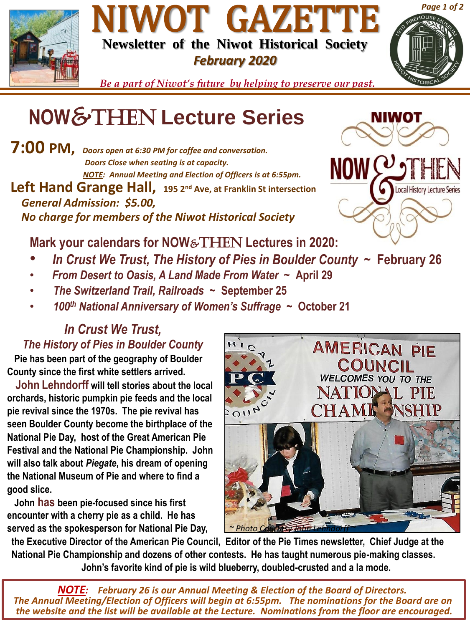

## NIWOT GAZETTE **Newsletter of the Niwot Historical Society** *February 2020*



*Be a part of Niwot's future by helping to preserve our past.*

# **NOW**&Then **Lecture Series**

**7:00 PM,** *Doors open at 6:30 PM for coffee and conversation. Doors Close when seating is at capacity. NOTE: Annual Meeting and Election of Officers is at 6:55pm.* **Left Hand Grange Hall, 195 2nd Ave, at Franklin St intersection** *General Admission: \$5.00,* 

*No charge for members of the Niwot Historical Society* 

**Mark your calendars for NOW**&THEN **Lectures in 2020:**

- *In Crust We Trust, The History of Pies in Boulder County ~* **February 26**
- *From Desert to Oasis, A Land Made From Water ~* **April 29**
- *The Switzerland Trail, Railroads ~* **September 25**
- *100th National Anniversary of Women's Suffrage* **~ October 21**

#### *In Crust We Trust, The History of Pies in Boulder County*

**Pie has been part of the geography of Boulder County since the first white settlers arrived.** 

**John Lehndorff will tell stories about the local orchards, historic pumpkin pie feeds and the local pie revival since the 1970s. The pie revival has seen Boulder County become the birthplace of the National Pie Day, host of the Great American Pie Festival and the National Pie Championship. John will also talk about** *Piegate***, his dream of opening the National Museum of Pie and where to find a good slice.**

**John has been pie-focused since his first encounter with a cherry pie as a child. He has served as the spokesperson for National Pie Day,** *<u>~ Photo Courtesy John L</u>* 



**the Executive Director of the American Pie Council, Editor of the Pie Times newsletter, Chief Judge at the National Pie Championship and dozens of other contests. He has taught numerous pie-making classes. John's favorite kind of pie is wild blueberry, doubled-crusted and a la mode.**

*NOTE: February 26 is our Annual Meeting & Election of the Board of Directors. The Annual Meeting/Election of Officers will begin at 6:55pm. The nominations for the Board are on the website and the list will be available at the Lecture. Nominations from the floor are encouraged.*